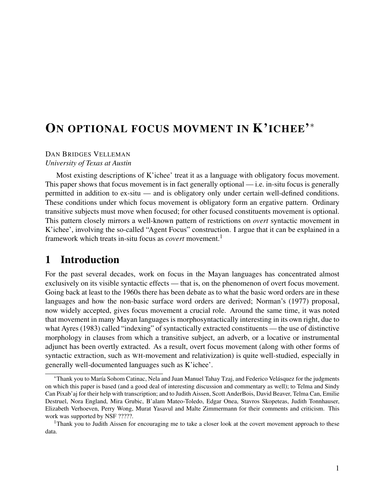# ON OPTIONAL FOCUS MOVMENT IN K'ICHEE'\*

#### DAN BRIDGES VELLEMAN *University of Texas at Austin*

Most existing descriptions of K'ichee' treat it as a language with obligatory focus movement. This paper shows that focus movement is in fact generally optional — i.e. in-situ focus is generally permitted in addition to ex-situ — and is obligatory only under certain well-defined conditions. These conditions under which focus movement is obligatory form an ergative pattern. Ordinary transitive subjects must move when focused; for other focused constituents movement is optional. This pattern closely mirrors a well-known pattern of restrictions on *overt* syntactic movement in K'ichee', involving the so-called "Agent Focus" construction. I argue that it can be explained in a framework which treats in-situ focus as *covert* movement.<sup>1</sup>

# 1 Introduction

For the past several decades, work on focus in the Mayan languages has concentrated almost exclusively on its visible syntactic effects — that is, on the phenomenon of overt focus movement. Going back at least to the 1960s there has been debate as to what the basic word orders are in these languages and how the non-basic surface word orders are derived; Norman's (1977) proposal, now widely accepted, gives focus movement a crucial role. Around the same time, it was noted that movement in many Mayan languages is morphosyntactically interesting in its own right, due to what Ayres (1983) called "indexing" of syntactically extracted constituents — the use of distinctive morphology in clauses from which a transitive subject, an adverb, or a locative or instrumental adjunct has been overtly extracted. As a result, overt focus movement (along with other forms of syntactic extraction, such as WH-movement and relativization) is quite well-studied, especially in generally well-documented languages such as K'ichee'.

<sup>∗</sup>Thank you to María Sohom Catinac, Nela and Juan Manuel Tahay Tzaj, and Federico Velásquez for the judgments on which this paper is based (and a good deal of interesting discussion and commentary as well); to Telma and Sindy Can Pixab'aj for their help with transcription; and to Judith Aissen, Scott AnderBois, David Beaver, Telma Can, Emilie Destruel, Nora England, Mira Grubic, B'alam Mateo-Toledo, Edgar Onea, Stavros Skopeteas, Judith Tonnhauser, Elizabeth Verhoeven, Perry Wong, Murat Yasavul and Malte Zimmermann for their comments and criticism. This work was supported by NSF ?????.

<sup>&</sup>lt;sup>1</sup>Thank you to Judith Aissen for encouraging me to take a closer look at the covert movement approach to these data.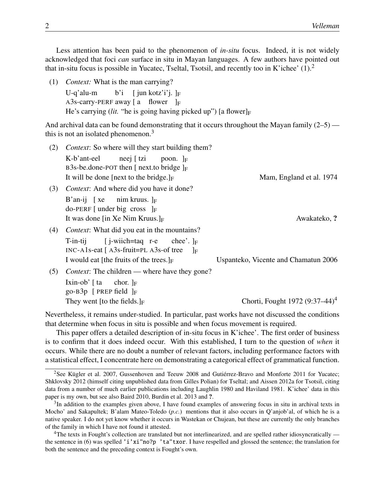Less attention has been paid to the phenomenon of *in-situ* focus. Indeed, it is not widely acknowledged that foci *can* surface in situ in Mayan languages. A few authors have pointed out that in-situ focus is possible in Yucatec, Tseltal, Tsotsil, and recently too in K'ichee'  $(1)$ .<sup>2</sup>

(1) *Context:* What is the man carrying?

U-q'alu-m A3s-carry-PERF away  $[a \quad \text{flower} \quad]_F$ b'i [ jun kotz'i'j. ]F He's carrying (*lit.* "he is going having picked up") [a flower] $_F$ 

And archival data can be found demonstrating that it occurs throughout the Mayan family  $(2-5)$  this is not an isolated phenomenon. $3$ 

| (2) | <i>Context:</i> So where will they start building them?                                                                                                   |                                      |
|-----|-----------------------------------------------------------------------------------------------------------------------------------------------------------|--------------------------------------|
|     | K-b'ant-eel<br>neej [ tzi poon. $]_F$<br>B3s-be.done-POT then $[$ next.to bridge $]_F$                                                                    |                                      |
|     | It will be done [next to the bridge.] $_F$                                                                                                                | Mam, England et al. 1974             |
| (3) | <i>Context:</i> And where did you have it done?                                                                                                           |                                      |
|     | B'an-ij [xe nim kruus. $\vert_F$<br>do-PERF [under big cross $\vert_F$                                                                                    |                                      |
|     | It was done [in Xe Nim Kruus.] $_F$                                                                                                                       | Awakateko, ?                         |
| (4) | <i>Context:</i> What did you eat in the mountains?                                                                                                        |                                      |
|     | T-in-tij [ j-wiich=taq r-e chee'. $\vert_F$<br>$INC-A1s$ -eat $[$ A3s-fruit=PL A3s-of tree<br>$\mathbb{F}$<br>I would eat [the fruits of the trees.] $_F$ | Uspanteko, Vicente and Chamatun 2006 |
| (5) | <i>Context:</i> The children — where have they gone?                                                                                                      |                                      |
|     | Ixin-ob' $\lceil \text{ta} \rceil$ chor. $\lceil \text{F} \rceil$<br>go-B3p [ PREP field $\vert_F$                                                        |                                      |
|     | They went [to the fields.] $_F$                                                                                                                           | Chorti, Fought 1972 $(9:37-44)^4$    |

Nevertheless, it remains under-studied. In particular, past works have not discussed the conditions that determine when focus in situ is possible and when focus movement is required.

This paper offers a detailed description of in-situ focus in K'ichee'. The first order of business is to confirm that it does indeed occur. With this established, I turn to the question of *when* it occurs. While there are no doubt a number of relevant factors, including performance factors with a statistical effect, I concentrate here on demonstrating a categorical effect of grammatical function.

<sup>2</sup>See Kügler et al. 2007, Gussenhoven and Teeuw 2008 and Gutiérrez-Bravo and Monforte 2011 for Yucatec; Shklovsky 2012 (himself citing unpublished data from Gilles Polian) for Tseltal; and Aissen 2012a for Tsotsil, citing data from a number of much earlier publications including Laughlin 1980 and Haviland 1981. K'ichee' data in this paper is my own, but see also Baird 2010, Burdin et al. 2013 and ?.

 $3$ In addition to the examples given above, I have found examples of answering focus in situ in archival texts in Mocho' and Sakapultek; B'alam Mateo-Toledo (*p.c.*) mentions that it also occurs in Q'anjob'al, of which he is a native speaker. I do not yet know whether it occurs in Wastekan or Chujean, but these are currently the only branches of the family in which I have not found it attested.

 $4$ The texts in Fought's collection are translated but not interlinearized, and are spelled rather idiosyncratically the sentence in (6) was spelled 'i'xi"no?p 'ta"txor. I have respelled and glossed the sentence; the translation for both the sentence and the preceding context is Fought's own.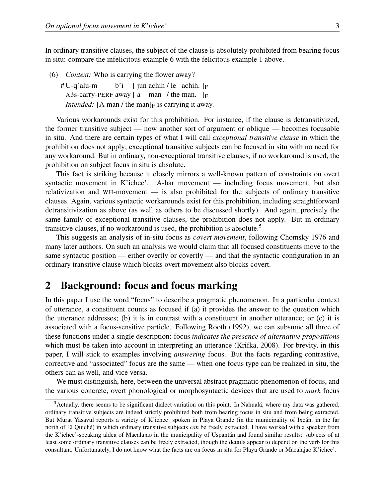In ordinary transitive clauses, the subject of the clause is absolutely prohibited from bearing focus in situ: compare the infelicitous example 6 with the felicitous example 1 above.

(6) *Context:* Who is carrying the flower away? # U-q'alu-m A3s-carry-PERF away  $[a \text{ man } / \text{ the man. }]_F$ b'i [jun achih / le achih.  $]_F$ *Intended:* [A man / the man] $_F$  is carrying it away.

Various workarounds exist for this prohibition. For instance, if the clause is detransitivized, the former transitive subject — now another sort of argument or oblique — becomes focusable in situ. And there are certain types of what I will call *exceptional transitive clause* in which the prohibition does not apply; exceptional transitive subjects can be focused in situ with no need for any workaround. But in ordinary, non-exceptional transitive clauses, if no workaround is used, the prohibition on subject focus in situ is absolute.

This fact is striking because it closely mirrors a well-known pattern of constraints on overt syntactic movement in K'ichee'. A-bar movement — including focus movement, but also relativization and WH-movement — is also prohibited for the subjects of ordinary transitive clauses. Again, various syntactic workarounds exist for this prohibition, including straightforward detransitivization as above (as well as others to be discussed shortly). And again, precisely the same family of exceptional transitive clauses, the prohibition does not apply. But in ordinary transitive clauses, if no workaround is used, the prohibition is absolute.<sup>5</sup>

This suggests an analysis of in-situ focus as *covert movement*, following Chomsky 1976 and many later authors. On such an analysis we would claim that all focused constituents move to the same syntactic position — either overtly or covertly — and that the syntactic configuration in an ordinary transitive clause which blocks overt movement also blocks covert.

### 2 Background: focus and focus marking

In this paper I use the word "focus" to describe a pragmatic phenomenon. In a particular context of utterance, a constituent counts as focused if (a) it provides the answer to the question which the utterance addresses; (b) it is in contrast with a constituent in another utterance; or (c) it is associated with a focus-sensitive particle. Following Rooth (1992), we can subsume all three of these functions under a single description: focus *indicates the presence of alternative propositions* which must be taken into account in interpreting an utterance (Krifka, 2008). For brevity, in this paper, I will stick to examples involving *answering* focus. But the facts regarding contrastive, corrective and "associated" focus are the same — when one focus type can be realized in situ, the others can as well, and vice versa.

We must distinguish, here, between the universal abstract pragmatic phenomenon of focus, and the various concrete, overt phonological or morphosyntactic devices that are used to *mark* focus

<sup>&</sup>lt;sup>5</sup>Actually, there seems to be significant dialect variation on this point. In Nahualá, where my data was gathered, ordinary transitive subjects are indeed strictly prohibited both from bearing focus in situ and from being extracted. But Murat Yasavul reports a variety of K'ichee' spoken in Playa Grande (in the municipality of Ixcán, in the far north of El Quiché) in which ordinary transitive subjects *can* be freely extracted. I have worked with a speaker from the K'ichee'-speaking aldea of Macalajao in the municipality of Uspantán and found similar results: subjects of at least some ordinary transitive clauses can be freely extracted, though the details appear to depend on the verb for this consultant. Unfortunately, I do not know what the facts are on focus in situ for Playa Grande or Macalajao K'ichee'.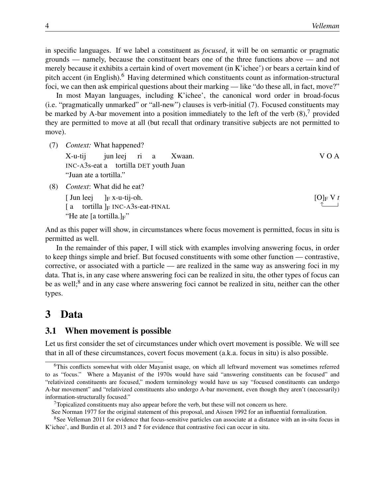in specific languages. If we label a constituent as *focused*, it will be on semantic or pragmatic grounds — namely, because the constituent bears one of the three functions above — and not merely because it exhibits a certain kind of overt movement (in K'ichee') or bears a certain kind of pitch accent (in English).<sup>6</sup> Having determined which constituents count as information-structural foci, we can then ask empirical questions about their marking — like "do these all, in fact, move?"

In most Mayan languages, including K'ichee', the canonical word order in broad-focus (i.e. "pragmatically unmarked" or "all-new") clauses is verb-initial (7). Focused constituents may be marked by A-bar movement into a position immediately to the left of the verb  $(8)$ ,<sup>7</sup> provided they are permitted to move at all (but recall that ordinary transitive subjects are not permitted to move).

```
(7) Context: What happened?
```
X-u-tij INC-A3s-eat a tortilla DET youth Juan jun leej ri a Xwaan. V O A "Juan ate a tortilla."

(8) *Context*: What did he eat?

[ Jun leej  $[a$  tortilla  $]_F$  INC-A3s-eat-FINAL ]F x-u-tij-oh. "He ate [a tortilla.] $F$ "

 $[O]_F V t$  $\uparrow$ 

And as this paper will show, in circumstances where focus movement is permitted, focus in situ is permitted as well.

In the remainder of this paper, I will stick with examples involving answering focus, in order to keep things simple and brief. But focused constituents with some other function — contrastive, corrective, or associated with a particle — are realized in the same way as answering foci in my data. That is, in any case where answering foci can be realized in situ, the other types of focus can be as well;<sup>8</sup> and in any case where answering foci cannot be realized in situ, neither can the other types.

# 3 Data

#### 3.1 When movement is possible

Let us first consider the set of circumstances under which overt movement is possible. We will see that in all of these circumstances, covert focus movement (a.k.a. focus in situ) is also possible.

<sup>6</sup>This conflicts somewhat with older Mayanist usage, on which all leftward movement was sometimes referred to as "focus." Where a Mayanist of the 1970s would have said "answering constituents can be focused" and "relativized constituents are focused," modern terminology would have us say "focused constituents can undergo A-bar movement" and "relativized constituents also undergo A-bar movement, even though they aren't (necessarily) information-structurally focused."

<sup>&</sup>lt;sup>7</sup>Topicalized constituents may also appear before the verb, but these will not concern us here.

See Norman 1977 for the original statement of this proposal, and Aissen 1992 for an influential formalization.

<sup>8</sup>See Velleman 2011 for evidence that focus-sensitive particles can associate at a distance with an in-situ focus in K'ichee', and Burdin et al. 2013 and ? for evidence that contrastive foci can occur in situ.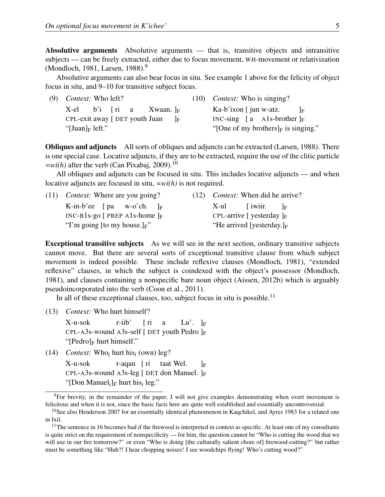Absolutive arguments Absolutive arguments — that is, transitive objects and intransitive subjects — can be freely extracted, either due to focus movement, WH-movement or relativization (Mondloch, 1981, Larsen, 1988).<sup>9</sup>

Absolutive arguments can also bear focus in situ. See example 1 above for the felicity of object focus in situ, and 9–10 for transitive subject focus.

|                     | $(9)$ <i>Context:</i> Who left?          |  |  | $(10)$ <i>Context:</i> Who is singing?  |      |                                |  |      |
|---------------------|------------------------------------------|--|--|-----------------------------------------|------|--------------------------------|--|------|
|                     | X-el b'i $\lceil$ ri a Xwaan. $\lceil$ F |  |  |                                         |      | Ka-b'ixon $\int$ jun w-atz.    |  | - In |
|                     | CPL-exit away [ DET youth Juan           |  |  |                                         | – Iஈ | INC-sing $[a \tA1s-brother]_F$ |  |      |
| "[Juan] $_F$ left." |                                          |  |  | "[One of my brothers] $_F$ is singing." |      |                                |  |      |

Obliques and adjuncts All sorts of obliques and adjuncts can be extracted (Larsen, 1988). There is one special case. Locative adjuncts, if they are to be extracted, require the use of the clitic particle  $=w_i(h)$  after the verb (Can Pixabaj, 2009).<sup>10</sup>

All obliques and adjuncts can be focused in situ. This includes locative adjuncts — and when locative adjuncts are focused in situ, *=wi(h)* is not required.

|                                      | $(11)$ <i>Context:</i> Where are you going? | (12) <i>Context:</i> When did he arrive? |                              |                               |  |  |
|--------------------------------------|---------------------------------------------|------------------------------------------|------------------------------|-------------------------------|--|--|
|                                      | K-in-b'ee $\lceil pa \ w$ -o'ch. $\rceil_F$ |                                          |                              | $X$ -ul [iwiir. $ _F$         |  |  |
| INC-B1s-go [ PREP A1s-home $\vert_F$ |                                             |                                          | CPL-arrive [ yesterday $]_F$ |                               |  |  |
|                                      | "I'm going [to my house.] $F$ "             |                                          |                              | "He arrived [yesterday.] $_F$ |  |  |

Exceptional transitive subjects As we will see in the next section, ordinary transitive subjects cannot move. But there are several sorts of exceptional transitive clause from which subject movement is indeed possible. These include reflexive clauses (Mondloch, 1981), "extended reflexive" clauses, in which the subject is coindexed with the object's possessor (Mondloch, 1981), and clauses containing a nonspecific bare noun object (Aissen, 2012b) which is arguably pseudoincorporated into the verb (Coon et al., 2011).

In all of these exceptional clauses, too, subject focus in situ is possible.<sup>11</sup>

(13) *Context:* Who hurt himself?

X-u-sok CPL-A3s-wound A3s-self [ DET youth Pedro ]<sub>F</sub> r-iib' [ ri a Lu'.  $]_F$ " $[Pedro]_F$  hurt himself."

 $(14)$  *Context:* Who<sub>i</sub> hurt his<sub>i</sub> (own) leg?

X-u-sok CPL-A3s-wound A3s-leg [ DET don Manuel. ]<sub>F</sub> r-aqan [ ri taat Wel.  $\mathbf{F}$ "[Don Manuel<sub>i</sub>]<sub>F</sub> hurt his<sub>i</sub> leg."

 $9F$ For brevity, in the remainder of the paper, I will not give examples demonstrating when overt movement is felicitous and when it is not, since the basic facts here are quite well established and essentially uncontroversial.

 $10$ See also Henderson 2007 for an essentially identical phenomenon in Kaqchikel, and Ayres 1983 for a related one in Ixil.

<sup>&</sup>lt;sup>11</sup>The sentence in 16 becomes bad if the firewood is interpreted in context as specific. At least one of my consultants is quite strict on the requirement of nonspecificity — for him, the question cannot be "Who is cutting the wood that we will use in our fire tomorrow?" or even "Who is doing [the culturally salient chore of] firewood-cutting?" but rather must be something like "Huh?! I hear chopping noises! I see woodchips flying! Who's cutting wood?"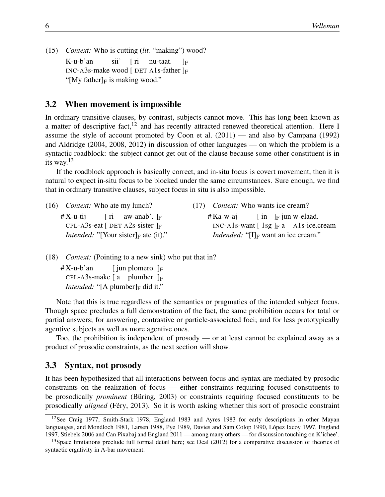(15) *Context:* Who is cutting (*lit.* "making") wood? K-u-b'an INC-A3s-make wood [ DET A1s-father ]<sub>F</sub> sii' [ ri nu-taat.  $\rm{lr}$ "[My father] $_F$  is making wood."

#### 3.2 When movement is impossible

In ordinary transitive clauses, by contrast, subjects cannot move. This has long been known as a matter of descriptive fact, $^{12}$  and has recently attracted renewed theoretical attention. Here I assume the style of account promoted by Coon et al. (2011) — and also by Campana (1992) and Aldridge (2004, 2008, 2012) in discussion of other languages — on which the problem is a syntactic roadblock: the subject cannot get out of the clause because some other constituent is in its way. $13$ 

If the roadblock approach is basically correct, and in-situ focus is covert movement, then it is natural to expect in-situ focus to be blocked under the same circumstances. Sure enough, we find that in ordinary transitive clauses, subject focus in situ is also impossible.

(16) *Context:* Who ate my lunch?  $#X$ -u-tij CPL-A3s-eat [ DET A2s-sister ]F [ ri aw-anab'. ]<sub>F</sub> *Intended:* "[Your sister]<sub>F</sub> ate (it)."

(17) *Context:* Who wants ice cream?

# Ka-w-aj  $INC-A1s$ -want  $[1sg]_F a$  Als-ice.cream  $\begin{bmatrix} \text{in} \\ \text{F} \text{jun} \\ \text{w}-\text{chaad.} \end{bmatrix}$ *Indended:* "[I]<sub>F</sub> want an ice cream."

(18) *Context:* (Pointing to a new sink) who put that in?

 $#X$ -u-b'an CPL-A3s-make [ a plumber ]F [ jun plomero. ]<sub>F</sub> *Intended:* "[A plumber] $_F$  did it."

Note that this is true regardless of the semantics or pragmatics of the intended subject focus. Though space precludes a full demonstration of the fact, the same prohibition occurs for total or partial answers; for answering, contrastive or particle-associated foci; and for less prototypically agentive subjects as well as more agentive ones.

Too, the prohibition is independent of prosody — or at least cannot be explained away as a product of prosodic constraints, as the next section will show.

#### 3.3 Syntax, not prosody

It has been hypothesized that all interactions between focus and syntax are mediated by prosodic constraints on the realization of focus — either constraints requiring focused constituents to be prosodically *prominent* (Büring, 2003) or constraints requiring focused constituents to be prosodically *aligned* (Féry, 2013). So it is worth asking whether this sort of prosodic constraint

<sup>&</sup>lt;sup>12</sup>See Craig 1977, Smith-Stark 1978, England 1983 and Ayres 1983 for early descriptions in other Mayan languauges, and Mondloch 1981, Larsen 1988, Pye 1989, Davies and Sam Colop 1990, López Ixcoy 1997, England 1997, Stiebels 2006 and Can Pixabaj and England 2011 — among many others — for discussion touching on K'ichee'.

<sup>&</sup>lt;sup>13</sup>Space limitations preclude full formal detail here; see Deal (2012) for a comparative discussion of theories of syntactic ergativity in A-bar movement.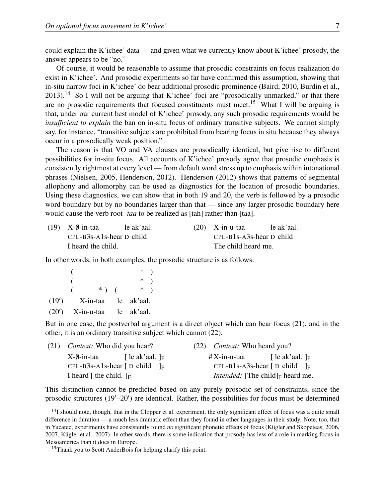could explain the K'ichee' data — and given what we currently know about K'ichee' prosody, the answer appears to be "no."

Of course, it would be reasonable to assume that prosodic constraints on focus realization do exist in K'ichee'. And prosodic experiments so far have confirmed this assumption, showing that in-situ narrow foci in K'ichee' do bear additional prosodic prominence (Baird, 2010, Burdin et al., 2013).<sup>14</sup> So I will not be arguing that K'ichee' foci are "prosodically unmarked," or that there are no prosodic requirements that focused constituents must meet.<sup>15</sup> What I will be arguing is that, under our current best model of K'ichee' prosody, any such prosodic requirements would be *insufficient to explain* the ban on in-situ focus of ordinary transitive subjects. We cannot simply say, for instance, "transitive subjects are prohibited from bearing focus in situ because they always occur in a prosodically weak position."

The reason is that VO and VA clauses are prosodically identical, but give rise to different possibilities for in-situ focus. All accounts of K'ichee' prosody agree that prosodic emphasis is consistently rightmost at every level — from default word stress up to emphasis within intonational phrases (Nielsen, 2005, Henderson, 2012). Henderson (2012) shows that patterns of segmental allophony and allomorphy can be used as diagnostics for the location of prosodic boundaries. Using these diagnostics, we can show that in both 19 and 20, the verb is followed by a prosodic word boundary but by no boundaries larger than that — since any larger prosodic boundary here would cause the verb root *-taa* to be realized as [tah] rather than [taa].

|                            | $(19)$ X- $\emptyset$ -in-taa | le ak'aal. | $(20)$ X-in-u-taa          | le ak'aal. |
|----------------------------|-------------------------------|------------|----------------------------|------------|
| $CPL-B3s-Als-hear D child$ |                               |            | $CPL-B1s-ASs-hear D child$ |            |
|                            | I heard the child.            |            | The child heard me.        |            |

In other words, in both examples, the prosodic structure is as follows:

|                               |         | $*$   |  |
|-------------------------------|---------|-------|--|
|                               |         | $*$   |  |
|                               | $*$ ) ( | $*$ ) |  |
| $(19')$ X-in-taa le ak'aal.   |         |       |  |
| $(20')$ X-in-u-taa le ak'aal. |         |       |  |

But in one case, the postverbal argument is a direct object which can bear focus (21), and in the other, it is an ordinary transitive subject which cannot (22).

| (21) <i>Context:</i> Who did you hear?              |                    |                                                     | (22) <i>Context:</i> Who heard you?              |                                               |  |
|-----------------------------------------------------|--------------------|-----------------------------------------------------|--------------------------------------------------|-----------------------------------------------|--|
| X-0-in-taa                                          | [ le ak'aal. $]_F$ |                                                     | #X-in-u-taa                                      | [ $\lbrack$ le ak'aal. $\rbrack$ <sub>F</sub> |  |
| CPL-B3s-A1s-hear $\lceil D \text{ child } \rceil_F$ |                    |                                                     | CPL-B1s-A3s-hear $\lceil D \text{ child} \rceil$ |                                               |  |
| I heard [ the child. $]_F$                          |                    | <i>Intended:</i> [The child] <sub>F</sub> heard me. |                                                  |                                               |  |

This distinction cannot be predicted based on any purely prosodic set of constraints, since the prosodic structures  $(19'–20')$  are identical. Rather, the possibilities for focus must be determined

 $14$ I should note, though, that in the Clopper et al. experiment, the only significant effect of focus was a quite small difference in duration — a much less dramatic effect than they found in other languages in their study. Note, too, that in Yucatec, experiments have consistently found *no* significant phonetic effects of focus (Kügler and Skopeteas, 2006, 2007, Kügler et al., 2007). In other words, there is some indication that prosody has less of a role in marking focus in Mesoamerica than it does in Europe.

<sup>&</sup>lt;sup>15</sup>Thank you to Scott AnderBois for helping clarify this point.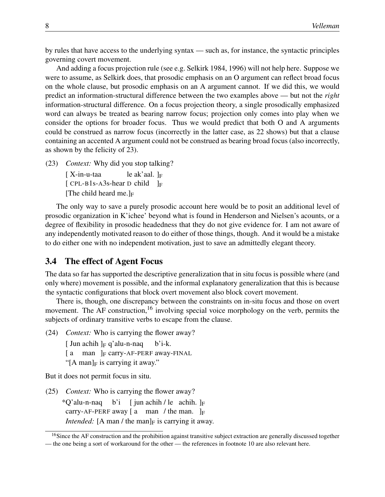by rules that have access to the underlying syntax — such as, for instance, the syntactic principles governing covert movement.

And adding a focus projection rule (see e.g. Selkirk 1984, 1996) will not help here. Suppose we were to assume, as Selkirk does, that prosodic emphasis on an O argument can reflect broad focus on the whole clause, but prosodic emphasis on an A argument cannot. If we did this, we would predict an information-structural difference between the two examples above — but not the *right* information-structural difference. On a focus projection theory, a single prosodically emphasized word can always be treated as bearing narrow focus; projection only comes into play when we consider the options for broader focus. Thus we would predict that both O and A arguments could be construed as narrow focus (incorrectly in the latter case, as 22 shows) but that a clause containing an accented A argument could not be construed as bearing broad focus (also incorrectly, as shown by the felicity of 23).

(23) *Context:* Why did you stop talking?

[ X-in-u-taa  $[$  CPL-B1s-A3s-hear D child  $]_F$ le ak'aal. ]F [The child heard me.] $_F$ 

The only way to save a purely prosodic account here would be to posit an additional level of prosodic organization in K'ichee' beyond what is found in Henderson and Nielsen's acounts, or a degree of flexibility in prosodic headedness that they do not give evidence for. I am not aware of any independently motivated reason to do either of those things, though. And it would be a mistake to do either one with no independent motivation, just to save an admittedly elegant theory.

#### 3.4 The effect of Agent Focus

The data so far has supported the descriptive generalization that in situ focus is possible where (and only where) movement is possible, and the informal explanatory generalization that this is because the syntactic configurations that block overt movement also block covert movement.

There is, though, one discrepancy between the constraints on in-situ focus and those on overt movement. The AF construction,<sup>16</sup> involving special voice morphology on the verb, permits the subjects of ordinary transitive verbs to escape from the clause.

(24) *Context:* Who is carrying the flower away?

- [ Jun achih ]<sub>F</sub> q'alu-n-naq b'i-k.
- [a man ]<sub>F</sub> carry-AF-PERF away-FINAL
- "[A man] $_F$  is carrying it away."

But it does not permit focus in situ.

(25) *Context:* Who is carrying the flower away?

 $^*Q$ 'alu-n-naq b'i [jun achih / le achih. ]<sub>F</sub> carry-AF-PERF away  $[a \text{ man } / \text{ the man. }]_F$ *Intended:* [A man / the man] $_F$  is carrying it away.

<sup>&</sup>lt;sup>16</sup>Since the AF construction and the prohibition against transitive subject extraction are generally discussed together — the one being a sort of workaround for the other — the references in footnote 10 are also relevant here.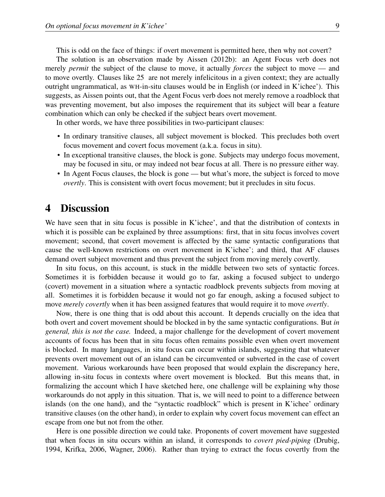This is odd on the face of things: if overt movement is permitted here, then why not covert?

The solution is an observation made by Aissen (2012b): an Agent Focus verb does not merely *permit* the subject of the clause to move, it actually *forces* the subject to move — and to move overtly. Clauses like 25 are not merely infelicitous in a given context; they are actually outright ungrammatical, as WH-in-situ clauses would be in English (or indeed in K'ichee'). This suggests, as Aissen points out, that the Agent Focus verb does not merely remove a roadblock that was preventing movement, but also imposes the requirement that its subject will bear a feature combination which can only be checked if the subject bears overt movement.

In other words, we have three possibilities in two-participant clauses:

- In ordinary transitive clauses, all subject movement is blocked. This precludes both overt focus movement and covert focus movement (a.k.a. focus in situ).
- In exceptional transitive clauses, the block is gone. Subjects may undergo focus movement, may be focused in situ, or may indeed not bear focus at all. There is no pressure either way.
- In Agent Focus clauses, the block is gone but what's more, the subject is forced to move *overtly*. This is consistent with overt focus movement; but it precludes in situ focus.

## 4 Discussion

We have seen that in situ focus is possible in K'ichee', and that the distribution of contexts in which it is possible can be explained by three assumptions: first, that in situ focus involves covert movement; second, that covert movement is affected by the same syntactic configurations that cause the well-known restrictions on overt movement in K'ichee'; and third, that AF clauses demand overt subject movement and thus prevent the subject from moving merely covertly.

In situ focus, on this account, is stuck in the middle between two sets of syntactic forces. Sometimes it is forbidden because it would go to far, asking a focused subject to undergo (covert) movement in a situation where a syntactic roadblock prevents subjects from moving at all. Sometimes it is forbidden because it would not go far enough, asking a focused subject to move *merely covertly* when it has been assigned features that would require it to move *overtly*.

Now, there is one thing that is odd about this account. It depends crucially on the idea that both overt and covert movement should be blocked in by the same syntactic configurations. But *in general, this is not the case.* Indeed, a major challenge for the development of covert movement accounts of focus has been that in situ focus often remains possible even when overt movement is blocked. In many languages, in situ focus can occur within islands, suggesting that whatever prevents overt movement out of an island can be circumvented or subverted in the case of covert movement. Various workarounds have been proposed that would explain the discrepancy here, allowing in-situ focus in contexts where overt movement is blocked. But this means that, in formalizing the account which I have sketched here, one challenge will be explaining why those workarounds do not apply in this situation. That is, we will need to point to a difference between islands (on the one hand), and the "syntactic roadblock" which is present in K'ichee' ordinary transitive clauses (on the other hand), in order to explain why covert focus movement can effect an escape from one but not from the other.

Here is one possible direction we could take. Proponents of covert movement have suggested that when focus in situ occurs within an island, it corresponds to *covert pied-piping* (Drubig, 1994, Krifka, 2006, Wagner, 2006). Rather than trying to extract the focus covertly from the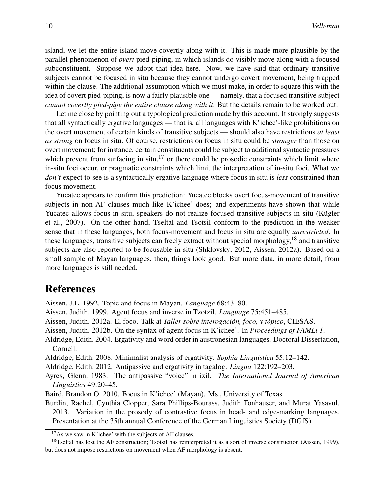island, we let the entire island move covertly along with it. This is made more plausible by the parallel phenomenon of *overt* pied-piping, in which islands do visibly move along with a focused subconstituent. Suppose we adopt that idea here. Now, we have said that ordinary transitive subjects cannot be focused in situ because they cannot undergo covert movement, being trapped within the clause. The additional assumption which we must make, in order to square this with the idea of covert pied-piping, is now a fairly plausible one — namely, that a focused transitive subject *cannot covertly pied-pipe the entire clause along with it*. But the details remain to be worked out.

Let me close by pointing out a typological prediction made by this account. It strongly suggests that all syntactically ergative languages — that is, all languages with K'ichee'-like prohibitions on the overt movement of certain kinds of transitive subjects — should also have restrictions *at least as strong* on focus in situ. Of course, restrictions on focus in situ could be *stronger* than those on overt movement; for instance, certain constituents could be subject to additional syntactic pressures which prevent from surfacing in situ, $^{17}$  or there could be prosodic constraints which limit where in-situ foci occur, or pragmatic constraints which limit the interpretation of in-situ foci. What we *don't* expect to see is a syntactically ergative language where focus in situ is *less* constrained than focus movement.

Yucatec appears to confirm this prediction: Yucatec blocks overt focus-movement of transitive subjects in non-AF clauses much like K'ichee' does; and experiments have shown that while Yucatec allows focus in situ, speakers do not realize focused transitive subjects in situ (Kügler et al., 2007). On the other hand, Tseltal and Tsotsil conform to the prediction in the weaker sense that in these languages, both focus-movement and focus in situ are equally *unrestricted*. In these languages, transitive subjects can freely extract without special morphology,  $18$  and transitive subjects are also reported to be focusable in situ (Shklovsky, 2012, Aissen, 2012a). Based on a small sample of Mayan languages, then, things look good. But more data, in more detail, from more languages is still needed.

## References

Aissen, J.L. 1992. Topic and focus in Mayan. *Language* 68:43–80.

- Aissen, Judith. 1999. Agent focus and inverse in Tzotzil. *Language* 75:451–485.
- Aissen, Judith. 2012a. El foco. Talk at *Taller sobre interogación, foco, y tópico*, CIESAS.
- Aissen, Judith. 2012b. On the syntax of agent focus in K'ichee'. In *Proceedings of FAMLi 1*.
- Aldridge, Edith. 2004. Ergativity and word order in austronesian languages. Doctoral Dissertation, Cornell.

Aldridge, Edith. 2008. Minimalist analysis of ergativity. *Sophia Linguistica* 55:12–142.

- Aldridge, Edith. 2012. Antipassive and ergativity in tagalog. *Lingua* 122:192–203.
- Ayres, Glenn. 1983. The antipassive "voice" in ixil. *The International Journal of American Linguistics* 49:20–45.
- Baird, Brandon O. 2010. Focus in K'ichee' (Mayan). Ms., University of Texas.

Burdin, Rachel, Cynthia Clopper, Sara Phillips-Bourass, Judith Tonhauser, and Murat Yasavul. 2013. Variation in the prosody of contrastive focus in head- and edge-marking languages. Presentation at the 35th annual Conference of the German Linguistics Society (DGfS).

<sup>&</sup>lt;sup>17</sup>As we saw in K'ichee' with the subjects of AF clauses.

 $18$ Tseltal has lost the AF construction; Tsotsil has reinterpreted it as a sort of inverse construction (Aissen, 1999), but does not impose restrictions on movement when AF morphology is absent.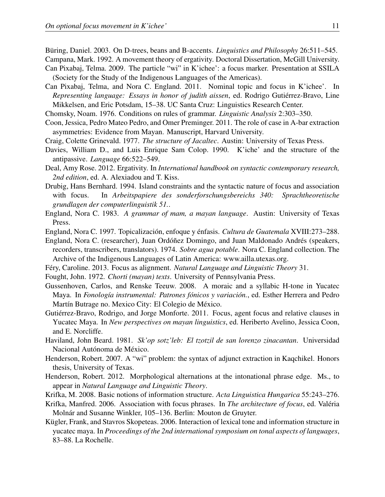Büring, Daniel. 2003. On D-trees, beans and B-accents. *Linguistics and Philosophy* 26:511–545.

Campana, Mark. 1992. A movement theory of ergativity. Doctoral Dissertation, McGill University. Can Pixabaj, Telma. 2009. The particle "wi" in K'ichee': a focus marker. Presentation at SSILA

- (Society for the Study of the Indigenous Languages of the Americas).
- Can Pixabaj, Telma, and Nora C. England. 2011. Nominal topic and focus in K'ichee'. In *Representing language: Essays in honor of judith aissen*, ed. Rodrigo Gutiérrez-Bravo, Line Mikkelsen, and Eric Potsdam, 15–38. UC Santa Cruz: Linguistics Research Center.

Chomsky, Noam. 1976. Conditions on rules of grammar. *Linguistic Analysis* 2:303–350.

- Coon, Jessica, Pedro Mateo Pedro, and Omer Preminger. 2011. The role of case in A-bar extraction asymmetries: Evidence from Mayan. Manuscript, Harvard University.
- Craig, Colette Grinevald. 1977. *The structure of Jacaltec*. Austin: University of Texas Press.
- Davies, William D., and Luis Enrique Sam Colop. 1990. K'iche' and the structure of the antipassive. *Language* 66:522–549.
- Deal, Amy Rose. 2012. Ergativity. In *International handbook on syntactic contemporary research, 2nd edition*, ed. A. Alexiadou and T. Kiss.
- Drubig, Hans Bernhard. 1994. Island constraints and the syntactic nature of focus and association with focus. In *Arbeitspapiere des sonderforschungsbereichs 340: Sprachtheoretische grundlagen der computerlinguistik 51.*.
- England, Nora C. 1983. *A grammar of mam, a mayan language*. Austin: University of Texas Press.
- England, Nora C. 1997. Topicalización, enfoque y énfasis. *Cultura de Guatemala* XVIII:273–288.

England, Nora C. (researcher), Juan Ordóñez Domingo, and Juan Maldonado Andrés (speakers, recorders, transcribers, translators). 1974. *Sobre agua potable*. Nora C. England collection. The Archive of the Indigenous Languages of Latin America: www.ailla.utexas.org.

Féry, Caroline. 2013. Focus as alignment. *Natural Language and Linguistic Theory* 31.

Fought, John. 1972. *Chorti (mayan) texts*. University of Pennsylvania Press.

- Gussenhoven, Carlos, and Renske Teeuw. 2008. A moraic and a syllabic H-tone in Yucatec Maya. In *Fonología instrumental: Patrones fónicos y variación.*, ed. Esther Herrera and Pedro Martín Butrage no. Mexico City: El Colegio de México.
- Gutiérrez-Bravo, Rodrigo, and Jorge Monforte. 2011. Focus, agent focus and relative clauses in Yucatec Maya. In *New perspectives on mayan linguistics*, ed. Heriberto Avelino, Jessica Coon, and E. Norcliffe.
- Haviland, John Beard. 1981. *Sk'op sotz'leb: El tzotzil de san lorenzo zinacantan*. Universidad Nacional Autónoma de México.
- Henderson, Robert. 2007. A "wi" problem: the syntax of adjunct extraction in Kaqchikel. Honors thesis, University of Texas.
- Henderson, Robert. 2012. Morphological alternations at the intonational phrase edge. Ms., to appear in *Natural Language and Linguistic Theory*.
- Krifka, M. 2008. Basic notions of information structure. *Acta Linguistica Hungarica* 55:243–276.
- Krifka, Manfred. 2006. Association with focus phrases. In *The architecture of focus*, ed. Valéria Molnár and Susanne Winkler, 105–136. Berlin: Mouton de Gruyter.
- Kügler, Frank, and Stavros Skopeteas. 2006. Interaction of lexical tone and information structure in yucatec maya. In *Proceedings of the 2nd international symposium on tonal aspects of languages*, 83–88. La Rochelle.